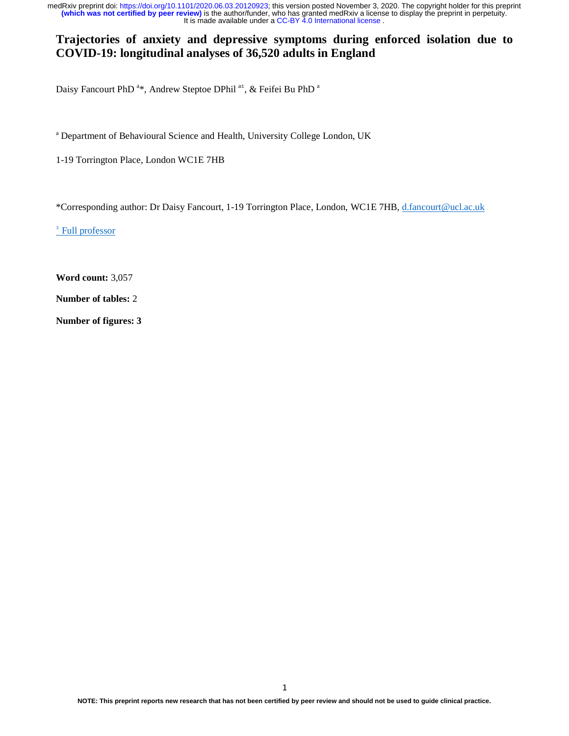### **Trajectories of anxiety and depressive symptoms during enforced isolation due to COVID-19: longitudinal analyses of 36,520 adults in England**

Daisy Fancourt PhD<sup>a\*\*</sup>, Andrew Steptoe DPhil<sup>a±</sup>, & Feifei Bu PhD<sup>a</sup>

<sup>a</sup> Department of Behavioural Science and Health, University College London, UK

1-19 Torrington Place, London WC1E 7HB

\*Corresponding author: Dr Daisy Fancourt, 1-19 Torrington Place, London, WC1E 7HB, d.fancourt@ucl.ac.uk

± Full professor

**Word count:** 3,057

**Number of tables:** 2

**Number of figures: 3**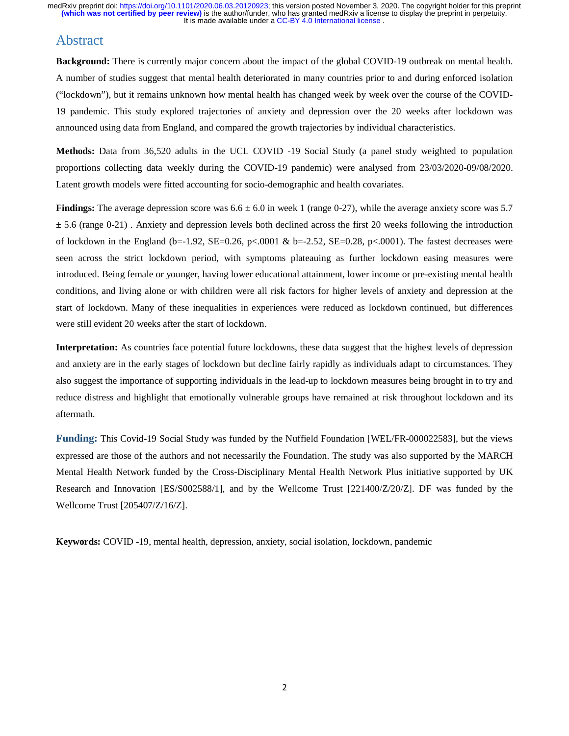### Abstract

**Background:** There is currently major concern about the impact of the global COVID-19 outbreak on mental health. A number of studies suggest that mental health deteriorated in many countries prior to and during enforced isolation ("lockdown"), but it remains unknown how mental health has changed week by week over the course of the COVID-19 pandemic. This study explored trajectories of anxiety and depression over the 20 weeks after lockdown was announced using data from England, and compared the growth trajectories by individual characteristics.

**Methods:** Data from 36,520 adults in the UCL COVID -19 Social Study (a panel study weighted to population proportions collecting data weekly during the COVID-19 pandemic) were analysed from 23/03/2020-09/08/2020. Latent growth models were fitted accounting for socio-demographic and health covariates.

**Findings:** The average depression score was  $6.6 \pm 6.0$  in week 1 (range 0-27), while the average anxiety score was 5.7  $\pm$  5.6 (range 0-21). Anxiety and depression levels both declined across the first 20 weeks following the introduction of lockdown in the England (b=-1.92, SE=0.26, p<.0001 & b=-2.52, SE=0.28, p<.0001). The fastest decreases were seen across the strict lockdown period, with symptoms plateauing as further lockdown easing measures were introduced. Being female or younger, having lower educational attainment, lower income or pre-existing mental health conditions, and living alone or with children were all risk factors for higher levels of anxiety and depression at the start of lockdown. Many of these inequalities in experiences were reduced as lockdown continued, but differences were still evident 20 weeks after the start of lockdown.

**Interpretation:** As countries face potential future lockdowns, these data suggest that the highest levels of depression and anxiety are in the early stages of lockdown but decline fairly rapidly as individuals adapt to circumstances. They also suggest the importance of supporting individuals in the lead-up to lockdown measures being brought in to try and reduce distress and highlight that emotionally vulnerable groups have remained at risk throughout lockdown and its aftermath.

**Funding:** This Covid-19 Social Study was funded by the Nuffield Foundation [WEL/FR-000022583], but the views expressed are those of the authors and not necessarily the Foundation. The study was also supported by the MARCH Mental Health Network funded by the Cross-Disciplinary Mental Health Network Plus initiative supported by UK Research and Innovation [ES/S002588/1], and by the Wellcome Trust [221400/Z/20/Z]. DF was funded by the Wellcome Trust [205407/Z/16/Z].

**Keywords:** COVID -19, mental health, depression, anxiety, social isolation, lockdown, pandemic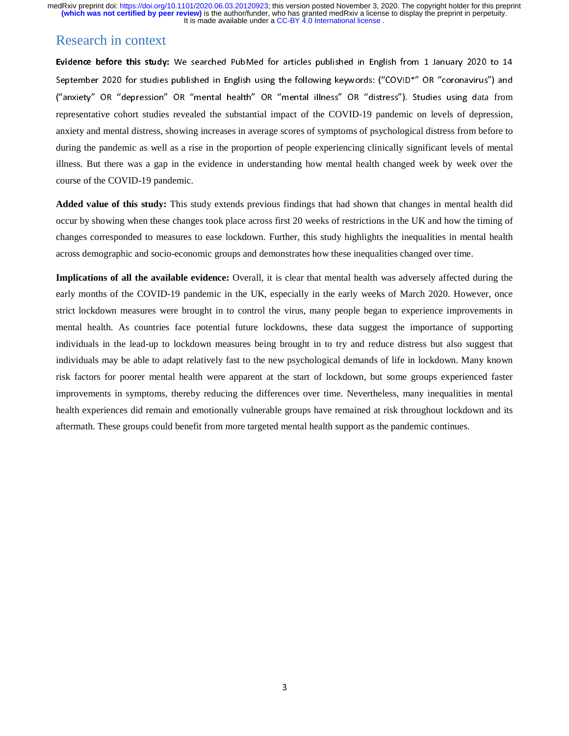## Research in context

Evidence before this study: We searched PubMed for articles published in English from 1 January 2020 to 14 September 2020 for studies published in English using the following keywords: ("COVID\*" OR "coronavirus") and ("anxiety" OR "depression" OR "mental health" OR "mental illness" OR "distress"). Studies using data from representative cohort studies revealed the substantial impact of the COVID-19 pandemic on levels of depression, anxiety and mental distress, showing increases in average scores of symptoms of psychological distress from before to during the pandemic as well as a rise in the proportion of people experiencing clinically significant levels of mental illness. But there was a gap in the evidence in understanding how mental health changed week by week over the course of the COVID-19 pandemic.

**Added value of this study:** This study extends previous findings that had shown that changes in mental health did occur by showing when these changes took place across first 20 weeks of restrictions in the UK and how the timing of changes corresponded to measures to ease lockdown. Further, this study highlights the inequalities in mental health across demographic and socio-economic groups and demonstrates how these inequalities changed over time.

**Implications of all the available evidence:** Overall, it is clear that mental health was adversely affected during the early months of the COVID-19 pandemic in the UK, especially in the early weeks of March 2020. However, once strict lockdown measures were brought in to control the virus, many people began to experience improvements in mental health. As countries face potential future lockdowns, these data suggest the importance of supporting individuals in the lead-up to lockdown measures being brought in to try and reduce distress but also suggest that individuals may be able to adapt relatively fast to the new psychological demands of life in lockdown. Many known risk factors for poorer mental health were apparent at the start of lockdown, but some groups experienced faster improvements in symptoms, thereby reducing the differences over time. Nevertheless, many inequalities in mental health experiences did remain and emotionally vulnerable groups have remained at risk throughout lockdown and its aftermath. These groups could benefit from more targeted mental health support as the pandemic continues.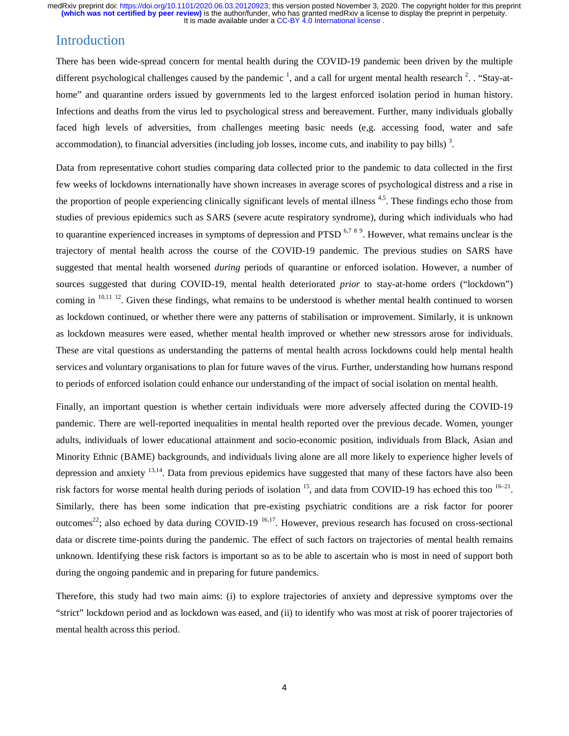# Introduction

There has been wide-spread concern for mental health during the COVID-19 pandemic been driven by the multiple different psychological challenges caused by the pandemic  $\frac{1}{2}$ , and a call for urgent mental health research  $\frac{2}{3}$ . "Stay-athome" and quarantine orders issued by governments led to the largest enforced isolation period in human history. Infections and deaths from the virus led to psychological stress and bereavement. Further, many individuals globally faced high levels of adversities, from challenges meeting basic needs (e,g. accessing food, water and safe accommodation), to financial adversities (including job losses, income cuts, and inability to pay bills)<sup>3</sup>.

Data from representative cohort studies comparing data collected prior to the pandemic to data collected in the first few weeks of lockdowns internationally have shown increases in average scores of psychological distress and a rise in the proportion of people experiencing clinically significant levels of mental illness<sup>4,5</sup>. These findings echo those from studies of previous epidemics such as SARS (severe acute respiratory syndrome), during which individuals who had to quarantine experienced increases in symptoms of depression and PTSD<sup>6,789</sup>. However, what remains unclear is the trajectory of mental health across the course of the COVID-19 pandemic. The previous studies on SARS have suggested that mental health worsened *during* periods of quarantine or enforced isolation. However, a number of sources suggested that during COVID-19, mental health deteriorated *prior* to stay-at-home orders ("lockdown") coming in <sup>10,11 12</sup>. Given these findings, what remains to be understood is whether mental health continued to worsen as lockdown continued, or whether there were any patterns of stabilisation or improvement. Similarly, it is unknown as lockdown measures were eased, whether mental health improved or whether new stressors arose for individuals. These are vital questions as understanding the patterns of mental health across lockdowns could help mental health services and voluntary organisations to plan for future waves of the virus. Further, understanding how humans respond to periods of enforced isolation could enhance our understanding of the impact of social isolation on mental health.

Finally, an important question is whether certain individuals were more adversely affected during the COVID-19 pandemic. There are well-reported inequalities in mental health reported over the previous decade. Women, younger adults, individuals of lower educational attainment and socio-economic position, individuals from Black, Asian and Minority Ethnic (BAME) backgrounds, and individuals living alone are all more likely to experience higher levels of depression and anxiety 13,14. Data from previous epidemics have suggested that many of these factors have also been risk factors for worse mental health during periods of isolation  $15$ , and data from COVID-19 has echoed this too  $16-21$ . Similarly, there has been some indication that pre-existing psychiatric conditions are a risk factor for poorer outcomes<sup>22</sup>; also echoed by data during COVID-19<sup>-16,17</sup>. However, previous research has focused on cross-sectional data or discrete time-points during the pandemic. The effect of such factors on trajectories of mental health remains unknown. Identifying these risk factors is important so as to be able to ascertain who is most in need of support both during the ongoing pandemic and in preparing for future pandemics.

Therefore, this study had two main aims: (i) to explore trajectories of anxiety and depressive symptoms over the "strict" lockdown period and as lockdown was eased, and (ii) to identify who was most at risk of poorer trajectories of mental health across this period.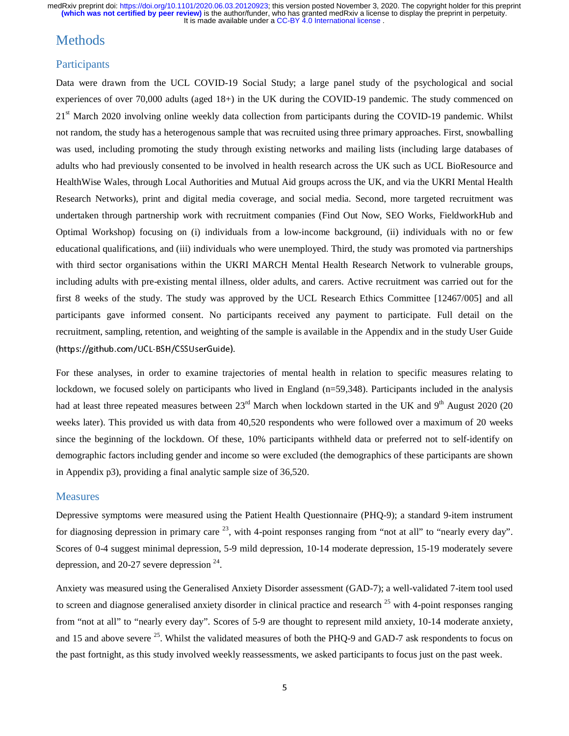## Methods

### **Participants**

Data were drawn from the UCL COVID-19 Social Study; a large panel study of the psychological and social experiences of over 70,000 adults (aged 18+) in the UK during the COVID-19 pandemic. The study commenced on 21<sup>st</sup> March 2020 involving online weekly data collection from participants during the COVID-19 pandemic. Whilst not random, the study has a heterogenous sample that was recruited using three primary approaches. First, snowballing was used, including promoting the study through existing networks and mailing lists (including large databases of adults who had previously consented to be involved in health research across the UK such as UCL BioResource and HealthWise Wales, through Local Authorities and Mutual Aid groups across the UK, and via the UKRI Mental Health Research Networks), print and digital media coverage, and social media. Second, more targeted recruitment was undertaken through partnership work with recruitment companies (Find Out Now, SEO Works, FieldworkHub and Optimal Workshop) focusing on (i) individuals from a low-income background, (ii) individuals with no or few educational qualifications, and (iii) individuals who were unemployed. Third, the study was promoted via partnerships with third sector organisations within the UKRI MARCH Mental Health Research Network to vulnerable groups, including adults with pre-existing mental illness, older adults, and carers. Active recruitment was carried out for the first 8 weeks of the study. The study was approved by the UCL Research Ethics Committee [12467/005] and all participants gave informed consent. No participants received any payment to participate. Full detail on the recruitment, sampling, retention, and weighting of the sample is available in the Appendix and in the study User Guide (https://github.com/UCL-BSH/CSSUserGuide).

For these analyses, in order to examine trajectories of mental health in relation to specific measures relating to lockdown, we focused solely on participants who lived in England (n=59,348). Participants included in the analysis had at least three repeated measures between  $23<sup>rd</sup>$  March when lockdown started in the UK and 9<sup>th</sup> August 2020 (20 weeks later). This provided us with data from 40,520 respondents who were followed over a maximum of 20 weeks since the beginning of the lockdown. Of these, 10% participants withheld data or preferred not to self-identify on demographic factors including gender and income so were excluded (the demographics of these participants are shown in Appendix p3), providing a final analytic sample size of 36,520.

#### Measures

Depressive symptoms were measured using the Patient Health Questionnaire (PHQ-9); a standard 9-item instrument for diagnosing depression in primary care  $^{23}$ , with 4-point responses ranging from "not at all" to "nearly every day". Scores of 0-4 suggest minimal depression, 5-9 mild depression, 10-14 moderate depression, 15-19 moderately severe depression, and  $20-27$  severe depression  $^{24}$ .

Anxiety was measured using the Generalised Anxiety Disorder assessment (GAD-7); a well-validated 7-item tool used to screen and diagnose generalised anxiety disorder in clinical practice and research  $^{25}$  with 4-point responses ranging from "not at all" to "nearly every day". Scores of 5-9 are thought to represent mild anxiety, 10-14 moderate anxiety, and 15 and above severe <sup>25</sup>. Whilst the validated measures of both the PHQ-9 and GAD-7 ask respondents to focus on the past fortnight, as this study involved weekly reassessments, we asked participants to focus just on the past week.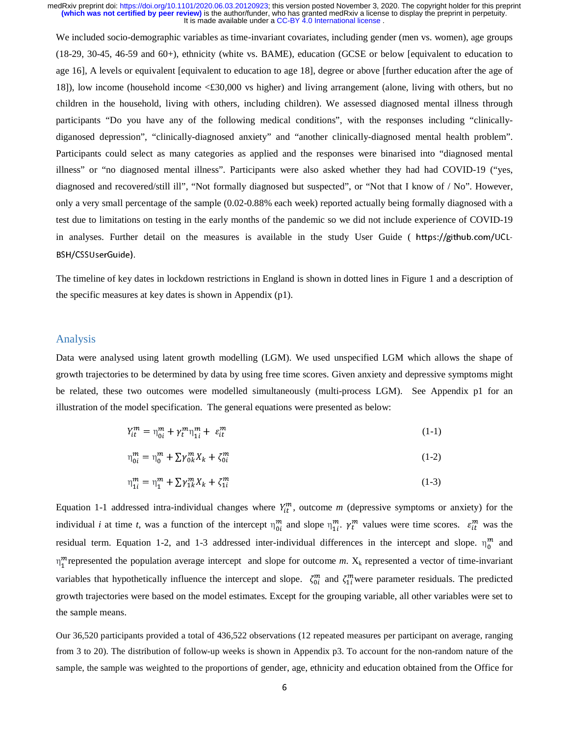We included socio-demographic variables as time-invariant covariates, including gender (men vs. women), age groups (18-29, 30-45, 46-59 and 60+), ethnicity (white vs. BAME), education (GCSE or below [equivalent to education to age 16], A levels or equivalent [equivalent to education to age 18], degree or above [further education after the age of 18]), low income (household income <£30,000 vs higher) and living arrangement (alone, living with others, but no children in the household, living with others, including children). We assessed diagnosed mental illness through participants "Do you have any of the following medical conditions", with the responses including "clinicallydiganosed depression", "clinically-diagnosed anxiety" and "another clinically-diagnosed mental health problem". Participants could select as many categories as applied and the responses were binarised into "diagnosed mental illness" or "no diagnosed mental illness". Participants were also asked whether they had had COVID-19 ("yes, diagnosed and recovered/still ill", "Not formally diagnosed but suspected", or "Not that I know of / No". However, only a very small percentage of the sample (0.02-0.88% each week) reported actually being formally diagnosed with a test due to limitations on testing in the early months of the pandemic so we did not include experience of COVID-19 in analyses. Further detail on the measures is available in the study User Guide ( https://github.com/UCL-BSH/CSSUserGuide).

The timeline of key dates in lockdown restrictions in England is shown in dotted lines in Figure 1 and a description of the specific measures at key dates is shown in Appendix (p1).

#### Analysis

Data were analysed using latent growth modelling (LGM). We used unspecified LGM which allows the shape of growth trajectories to be determined by data by using free time scores. Given anxiety and depressive symptoms might be related, these two outcomes were modelled simultaneously (multi-process LGM). See Appendix p1 for an illustration of the model specification. The general equations were presented as below:

$$
Y_{it}^{m} = \eta_{0i}^{m} + \gamma_{t}^{m} \eta_{1i}^{m} + \varepsilon_{it}^{m}
$$
 (1-1)

$$
\eta_{0i}^{m} = \eta_{0}^{m} + \sum \gamma_{0k}^{m} X_{k} + \zeta_{0i}^{m}
$$
 (1-2)

$$
\eta_{1i}^{m} = \eta_{1}^{m} + \sum \gamma_{1k}^{m} X_{k} + \zeta_{1i}^{m}
$$
 (1-3)

Equation 1-1 addressed intra-individual changes where  $Y_{it}^m$ , outcome *m* (depressive symptoms or anxiety) for the individual *i* at time *t*, was a function of the intercept  $\eta_{0i}^m$  and slope  $\eta_{1i}^m$ .  $\gamma_t^m$  values were time scores.  $\varepsilon_{it}^m$  was the residual term. Equation 1-2, and 1-3 addressed inter-individual differences in the intercept and slope.  $\eta_0^m$  and  $\eta_1^m$  represented the population average intercept and slope for outcome *m*.  $X_k$  represented a vector of time-invariant variables that hypothetically influence the intercept and slope.  $\zeta_{0i}^{m}$  and  $\zeta_{1i}^{m}$  were parameter residuals. The predicted growth trajectories were based on the model estimates. Except for the grouping variable, all other variables were set to the sample means.

Our 36,520 participants provided a total of 436,522 observations (12 repeated measures per participant on average, ranging from 3 to 20). The distribution of follow-up weeks is shown in Appendix p3. To account for the non-random nature of the sample, the sample was weighted to the proportions of gender, age, ethnicity and education obtained from the Office for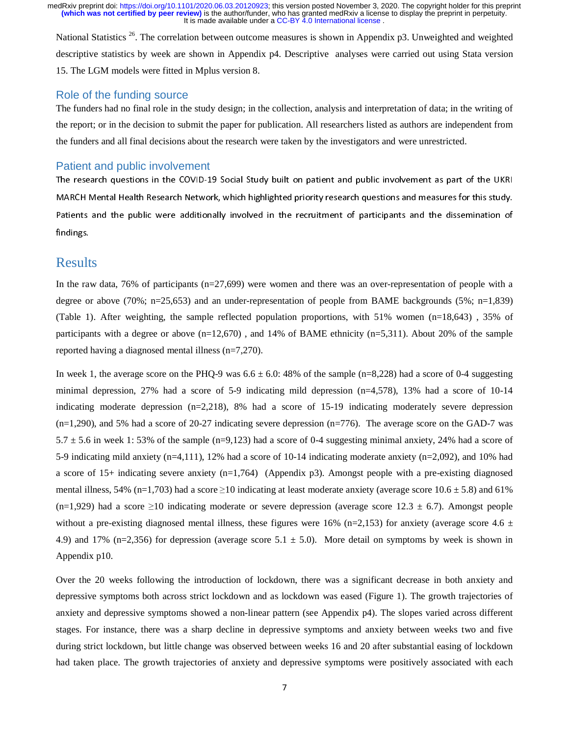National Statistics <sup>26</sup>. The correlation between outcome measures is shown in Appendix p3. Unweighted and weighted descriptive statistics by week are shown in Appendix p4. Descriptive analyses were carried out using Stata version 15. The LGM models were fitted in Mplus version 8.

### Role of the funding source

The funders had no final role in the study design; in the collection, analysis and interpretation of data; in the writing of the report; or in the decision to submit the paper for publication. All researchers listed as authors are independent from the funders and all final decisions about the research were taken by the investigators and were unrestricted.

#### Patient and public involvement

The research questions in the COVID-19 Social Study built on patient and public involvement as part of the UKRI MARCH Mental Health Research Network, which highlighted priority research questions and measures for this study. Patients and the public were additionally involved in the recruitment of participants and the dissemination of findings.

## Results

In the raw data, 76% of participants (n=27,699) were women and there was an over-representation of people with a degree or above (70%; n=25,653) and an under-representation of people from BAME backgrounds (5%; n=1,839) (Table 1). After weighting, the sample reflected population proportions, with 51% women (n=18,643) , 35% of participants with a degree or above  $(n=12,670)$ , and 14% of BAME ethnicity  $(n=5,311)$ . About 20% of the sample reported having a diagnosed mental illness (n=7,270).

In week 1, the average score on the PHQ-9 was  $6.6 \pm 6.0$ : 48% of the sample (n=8,228) had a score of 0-4 suggesting minimal depression, 27% had a score of 5-9 indicating mild depression (n=4,578), 13% had a score of 10-14 indicating moderate depression  $(n=2,218)$ , 8% had a score of 15-19 indicating moderately severe depression (n=1,290), and 5% had a score of 20-27 indicating severe depression (n=776). The average score on the GAD-7 was 5.7  $\pm$  5.6 in week 1: 53% of the sample (n=9,123) had a score of 0-4 suggesting minimal anxiety, 24% had a score of 5-9 indicating mild anxiety (n=4,111), 12% had a score of 10-14 indicating moderate anxiety (n=2,092), and 10% had a score of 15+ indicating severe anxiety (n=1,764) (Appendix p3). Amongst people with a pre-existing diagnosed mental illness, 54% (n=1,703) had a score  $\geq$ 10 indicating at least moderate anxiety (average score 10.6  $\pm$  5.8) and 61%  $(n=1,929)$  had a score ≥10 indicating moderate or severe depression (average score 12.3 ± 6.7). Amongst people without a pre-existing diagnosed mental illness, these figures were 16% (n=2,153) for anxiety (average score 4.6  $\pm$ 4.9) and 17% (n=2,356) for depression (average score  $5.1 \pm 5.0$ ). More detail on symptoms by week is shown in Appendix p10.

Over the 20 weeks following the introduction of lockdown, there was a significant decrease in both anxiety and depressive symptoms both across strict lockdown and as lockdown was eased (Figure 1). The growth trajectories of anxiety and depressive symptoms showed a non-linear pattern (see Appendix p4). The slopes varied across different stages. For instance, there was a sharp decline in depressive symptoms and anxiety between weeks two and five during strict lockdown, but little change was observed between weeks 16 and 20 after substantial easing of lockdown had taken place. The growth trajectories of anxiety and depressive symptoms were positively associated with each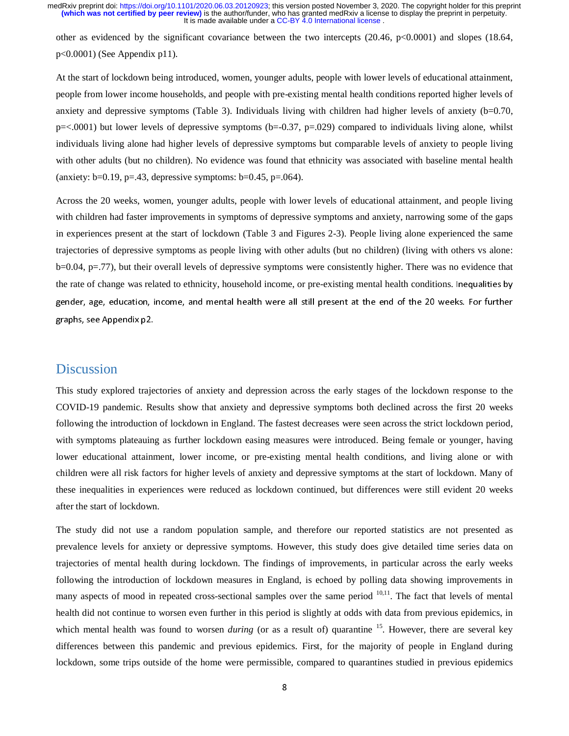other as evidenced by the significant covariance between the two intercepts (20.46, p<0.0001) and slopes (18.64, p<0.0001) (See Appendix p11).

At the start of lockdown being introduced, women, younger adults, people with lower levels of educational attainment, people from lower income households, and people with pre-existing mental health conditions reported higher levels of anxiety and depressive symptoms (Table 3). Individuals living with children had higher levels of anxiety (b=0.70,  $p = 0.0001$ ) but lower levels of depressive symptoms (b=-0.37, p=.029) compared to individuals living alone, whilst individuals living alone had higher levels of depressive symptoms but comparable levels of anxiety to people living with other adults (but no children). No evidence was found that ethnicity was associated with baseline mental health (anxiety:  $b=0.19$ ,  $p=.43$ , depressive symptoms:  $b=0.45$ ,  $p=.064$ ).

Across the 20 weeks, women, younger adults, people with lower levels of educational attainment, and people living with children had faster improvements in symptoms of depressive symptoms and anxiety, narrowing some of the gaps in experiences present at the start of lockdown (Table 3 and Figures 2-3). People living alone experienced the same trajectories of depressive symptoms as people living with other adults (but no children) (living with others vs alone: b=0.04, p=.77), but their overall levels of depressive symptoms were consistently higher. There was no evidence that the rate of change was related to ethnicity, household income, or pre-existing mental health conditions. Inequalities by gender, age, education, income, and mental health were all still present at the end of the 20 weeks. For further graphs, see Appendix p2.

# Discussion

This study explored trajectories of anxiety and depression across the early stages of the lockdown response to the COVID-19 pandemic. Results show that anxiety and depressive symptoms both declined across the first 20 weeks following the introduction of lockdown in England. The fastest decreases were seen across the strict lockdown period, with symptoms plateauing as further lockdown easing measures were introduced. Being female or younger, having lower educational attainment, lower income, or pre-existing mental health conditions, and living alone or with children were all risk factors for higher levels of anxiety and depressive symptoms at the start of lockdown. Many of these inequalities in experiences were reduced as lockdown continued, but differences were still evident 20 weeks after the start of lockdown.

The study did not use a random population sample, and therefore our reported statistics are not presented as prevalence levels for anxiety or depressive symptoms. However, this study does give detailed time series data on trajectories of mental health during lockdown. The findings of improvements, in particular across the early weeks following the introduction of lockdown measures in England, is echoed by polling data showing improvements in many aspects of mood in repeated cross-sectional samples over the same period  $10,11$ . The fact that levels of mental health did not continue to worsen even further in this period is slightly at odds with data from previous epidemics, in which mental health was found to worsen *during* (or as a result of) quarantine <sup>15</sup>. However, there are several key differences between this pandemic and previous epidemics. First, for the majority of people in England during lockdown, some trips outside of the home were permissible, compared to quarantines studied in previous epidemics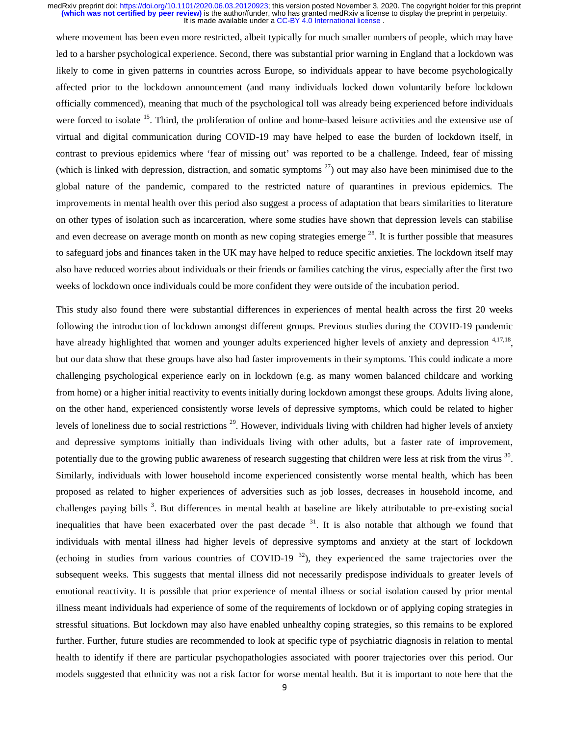where movement has been even more restricted, albeit typically for much smaller numbers of people, which may have led to a harsher psychological experience. Second, there was substantial prior warning in England that a lockdown was likely to come in given patterns in countries across Europe, so individuals appear to have become psychologically affected prior to the lockdown announcement (and many individuals locked down voluntarily before lockdown officially commenced), meaning that much of the psychological toll was already being experienced before individuals were forced to isolate <sup>15</sup>. Third, the proliferation of online and home-based leisure activities and the extensive use of virtual and digital communication during COVID-19 may have helped to ease the burden of lockdown itself, in contrast to previous epidemics where 'fear of missing out' was reported to be a challenge. Indeed, fear of missing (which is linked with depression, distraction, and somatic symptoms  $27$ ) out may also have been minimised due to the global nature of the pandemic, compared to the restricted nature of quarantines in previous epidemics. The improvements in mental health over this period also suggest a process of adaptation that bears similarities to literature on other types of isolation such as incarceration, where some studies have shown that depression levels can stabilise and even decrease on average month on month as new coping strategies emerge  $^{28}$ . It is further possible that measures to safeguard jobs and finances taken in the UK may have helped to reduce specific anxieties. The lockdown itself may also have reduced worries about individuals or their friends or families catching the virus, especially after the first two weeks of lockdown once individuals could be more confident they were outside of the incubation period.

This study also found there were substantial differences in experiences of mental health across the first 20 weeks following the introduction of lockdown amongst different groups. Previous studies during the COVID-19 pandemic have already highlighted that women and younger adults experienced higher levels of anxiety and depression <sup>4,17,18</sup>, but our data show that these groups have also had faster improvements in their symptoms. This could indicate a more challenging psychological experience early on in lockdown (e.g. as many women balanced childcare and working from home) or a higher initial reactivity to events initially during lockdown amongst these groups. Adults living alone, on the other hand, experienced consistently worse levels of depressive symptoms, which could be related to higher levels of loneliness due to social restrictions  $^{29}$ . However, individuals living with children had higher levels of anxiety and depressive symptoms initially than individuals living with other adults, but a faster rate of improvement, potentially due to the growing public awareness of research suggesting that children were less at risk from the virus  $30$ . Similarly, individuals with lower household income experienced consistently worse mental health, which has been proposed as related to higher experiences of adversities such as job losses, decreases in household income, and challenges paying bills<sup>3</sup>. But differences in mental health at baseline are likely attributable to pre-existing social inequalities that have been exacerbated over the past decade  $31$ . It is also notable that although we found that individuals with mental illness had higher levels of depressive symptoms and anxiety at the start of lockdown (echoing in studies from various countries of COVID-19<sup>32</sup>), they experienced the same trajectories over the subsequent weeks. This suggests that mental illness did not necessarily predispose individuals to greater levels of emotional reactivity. It is possible that prior experience of mental illness or social isolation caused by prior mental illness meant individuals had experience of some of the requirements of lockdown or of applying coping strategies in stressful situations. But lockdown may also have enabled unhealthy coping strategies, so this remains to be explored further. Further, future studies are recommended to look at specific type of psychiatric diagnosis in relation to mental health to identify if there are particular psychopathologies associated with poorer trajectories over this period. Our models suggested that ethnicity was not a risk factor for worse mental health. But it is important to note here that the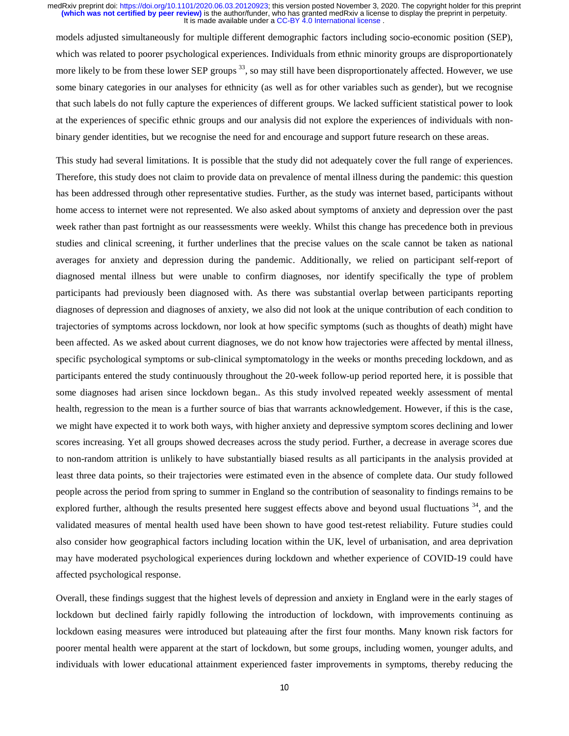models adjusted simultaneously for multiple different demographic factors including socio-economic position (SEP), which was related to poorer psychological experiences. Individuals from ethnic minority groups are disproportionately more likely to be from these lower SEP groups<sup>33</sup>, so may still have been disproportionately affected. However, we use some binary categories in our analyses for ethnicity (as well as for other variables such as gender), but we recognise that such labels do not fully capture the experiences of different groups. We lacked sufficient statistical power to look at the experiences of specific ethnic groups and our analysis did not explore the experiences of individuals with nonbinary gender identities, but we recognise the need for and encourage and support future research on these areas.

This study had several limitations. It is possible that the study did not adequately cover the full range of experiences. Therefore, this study does not claim to provide data on prevalence of mental illness during the pandemic: this question has been addressed through other representative studies. Further, as the study was internet based, participants without home access to internet were not represented. We also asked about symptoms of anxiety and depression over the past week rather than past fortnight as our reassessments were weekly. Whilst this change has precedence both in previous studies and clinical screening, it further underlines that the precise values on the scale cannot be taken as national averages for anxiety and depression during the pandemic. Additionally, we relied on participant self-report of diagnosed mental illness but were unable to confirm diagnoses, nor identify specifically the type of problem participants had previously been diagnosed with. As there was substantial overlap between participants reporting diagnoses of depression and diagnoses of anxiety, we also did not look at the unique contribution of each condition to trajectories of symptoms across lockdown, nor look at how specific symptoms (such as thoughts of death) might have been affected. As we asked about current diagnoses, we do not know how trajectories were affected by mental illness, specific psychological symptoms or sub-clinical symptomatology in the weeks or months preceding lockdown, and as participants entered the study continuously throughout the 20-week follow-up period reported here, it is possible that some diagnoses had arisen since lockdown began.. As this study involved repeated weekly assessment of mental health, regression to the mean is a further source of bias that warrants acknowledgement. However, if this is the case, we might have expected it to work both ways, with higher anxiety and depressive symptom scores declining and lower scores increasing. Yet all groups showed decreases across the study period. Further, a decrease in average scores due to non-random attrition is unlikely to have substantially biased results as all participants in the analysis provided at least three data points, so their trajectories were estimated even in the absence of complete data. Our study followed people across the period from spring to summer in England so the contribution of seasonality to findings remains to be explored further, although the results presented here suggest effects above and beyond usual fluctuations <sup>34</sup>, and the validated measures of mental health used have been shown to have good test-retest reliability. Future studies could also consider how geographical factors including location within the UK, level of urbanisation, and area deprivation may have moderated psychological experiences during lockdown and whether experience of COVID-19 could have affected psychological response.

Overall, these findings suggest that the highest levels of depression and anxiety in England were in the early stages of lockdown but declined fairly rapidly following the introduction of lockdown, with improvements continuing as lockdown easing measures were introduced but plateauing after the first four months. Many known risk factors for poorer mental health were apparent at the start of lockdown, but some groups, including women, younger adults, and individuals with lower educational attainment experienced faster improvements in symptoms, thereby reducing the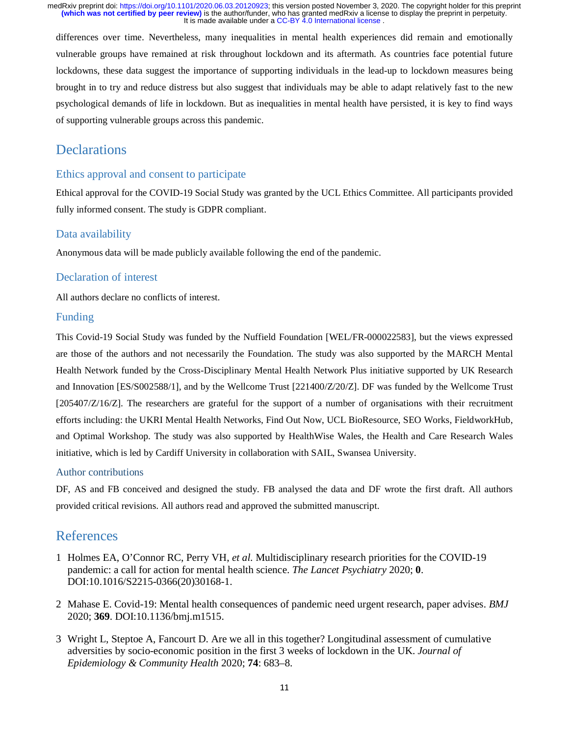differences over time. Nevertheless, many inequalities in mental health experiences did remain and emotionally vulnerable groups have remained at risk throughout lockdown and its aftermath. As countries face potential future lockdowns, these data suggest the importance of supporting individuals in the lead-up to lockdown measures being brought in to try and reduce distress but also suggest that individuals may be able to adapt relatively fast to the new psychological demands of life in lockdown. But as inequalities in mental health have persisted, it is key to find ways of supporting vulnerable groups across this pandemic.

# Declarations

### Ethics approval and consent to participate

Ethical approval for the COVID-19 Social Study was granted by the UCL Ethics Committee. All participants provided fully informed consent. The study is GDPR compliant.

### Data availability

Anonymous data will be made publicly available following the end of the pandemic.

#### Declaration of interest

All authors declare no conflicts of interest.

### Funding

This Covid-19 Social Study was funded by the Nuffield Foundation [WEL/FR-000022583], but the views expressed are those of the authors and not necessarily the Foundation. The study was also supported by the MARCH Mental Health Network funded by the Cross-Disciplinary Mental Health Network Plus initiative supported by UK Research and Innovation [ES/S002588/1], and by the Wellcome Trust [221400/Z/20/Z]. DF was funded by the Wellcome Trust [205407/Z/16/Z]. The researchers are grateful for the support of a number of organisations with their recruitment efforts including: the UKRI Mental Health Networks, Find Out Now, UCL BioResource, SEO Works, FieldworkHub, and Optimal Workshop. The study was also supported by HealthWise Wales, the Health and Care Research Wales initiative, which is led by Cardiff University in collaboration with SAIL, Swansea University.

#### Author contributions

DF, AS and FB conceived and designed the study. FB analysed the data and DF wrote the first draft. All authors provided critical revisions. All authors read and approved the submitted manuscript.

## References

- 1 Holmes EA, O'Connor RC, Perry VH, *et al.* Multidisciplinary research priorities for the COVID-19 pandemic: a call for action for mental health science. *The Lancet Psychiatry* 2020; **0**. DOI:10.1016/S2215-0366(20)30168-1.
- 2 Mahase E. Covid-19: Mental health consequences of pandemic need urgent research, paper advises. *BMJ* 2020; **369**. DOI:10.1136/bmj.m1515.
- 3 Wright L, Steptoe A, Fancourt D. Are we all in this together? Longitudinal assessment of cumulative adversities by socio-economic position in the first 3 weeks of lockdown in the UK. *Journal of Epidemiology & Community Health* 2020; **74**: 683–8.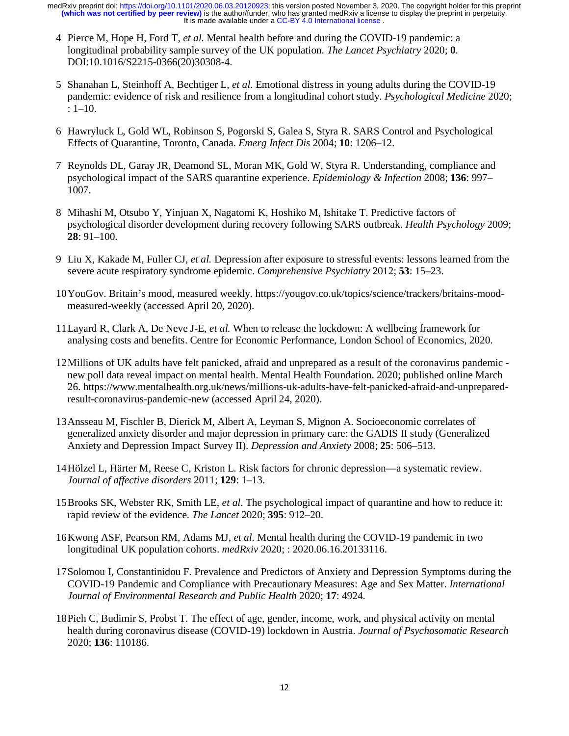- 4 Pierce M, Hope H, Ford T, *et al.* Mental health before and during the COVID-19 pandemic: a longitudinal probability sample survey of the UK population. *The Lancet Psychiatry* 2020; **0**. DOI:10.1016/S2215-0366(20)30308-4.
- 5 Shanahan L, Steinhoff A, Bechtiger L, *et al.* Emotional distress in young adults during the COVID-19 pandemic: evidence of risk and resilience from a longitudinal cohort study. *Psychological Medicine* 2020; : 1–10.
- 6 Hawryluck L, Gold WL, Robinson S, Pogorski S, Galea S, Styra R. SARS Control and Psychological Effects of Quarantine, Toronto, Canada. *Emerg Infect Dis* 2004; **10**: 1206–12.
- 7 Reynolds DL, Garay JR, Deamond SL, Moran MK, Gold W, Styra R. Understanding, compliance and psychological impact of the SARS quarantine experience. *Epidemiology & Infection* 2008; **136**: 997– 1007.
- 8 Mihashi M, Otsubo Y, Yinjuan X, Nagatomi K, Hoshiko M, Ishitake T. Predictive factors of psychological disorder development during recovery following SARS outbreak. *Health Psychology* 2009; **28**: 91–100.
- 9 Liu X, Kakade M, Fuller CJ, *et al.* Depression after exposure to stressful events: lessons learned from the severe acute respiratory syndrome epidemic. *Comprehensive Psychiatry* 2012; **53**: 15–23.
- 10 YouGov. Britain's mood, measured weekly. https://yougov.co.uk/topics/science/trackers/britains-moodmeasured-weekly (accessed April 20, 2020).
- 11 Layard R, Clark A, De Neve J-E, *et al.* When to release the lockdown: A wellbeing framework for analysing costs and benefits. Centre for Economic Performance, London School of Economics, 2020.
- 12 Millions of UK adults have felt panicked, afraid and unprepared as a result of the coronavirus pandemic new poll data reveal impact on mental health. Mental Health Foundation. 2020; published online March 26. https://www.mentalhealth.org.uk/news/millions-uk-adults-have-felt-panicked-afraid-and-unpreparedresult-coronavirus-pandemic-new (accessed April 24, 2020).
- 13 Ansseau M, Fischler B, Dierick M, Albert A, Leyman S, Mignon A. Socioeconomic correlates of generalized anxiety disorder and major depression in primary care: the GADIS II study (Generalized Anxiety and Depression Impact Survey II). *Depression and Anxiety* 2008; **25**: 506–513.
- 14 Hölzel L, Härter M, Reese C, Kriston L. Risk factors for chronic depression—a systematic review. *Journal of affective disorders* 2011; **129**: 1–13.
- 15 Brooks SK, Webster RK, Smith LE, *et al.* The psychological impact of quarantine and how to reduce it: rapid review of the evidence. *The Lancet* 2020; **395**: 912–20.
- 16 Kwong ASF, Pearson RM, Adams MJ, *et al.* Mental health during the COVID-19 pandemic in two longitudinal UK population cohorts. *medRxiv* 2020; : 2020.06.16.20133116.
- 17 Solomou I, Constantinidou F. Prevalence and Predictors of Anxiety and Depression Symptoms during the COVID-19 Pandemic and Compliance with Precautionary Measures: Age and Sex Matter. *International Journal of Environmental Research and Public Health* 2020; **17**: 4924.
- 18 Pieh C, Budimir S, Probst T. The effect of age, gender, income, work, and physical activity on mental health during coronavirus disease (COVID-19) lockdown in Austria. *Journal of Psychosomatic Research* 2020; **136**: 110186.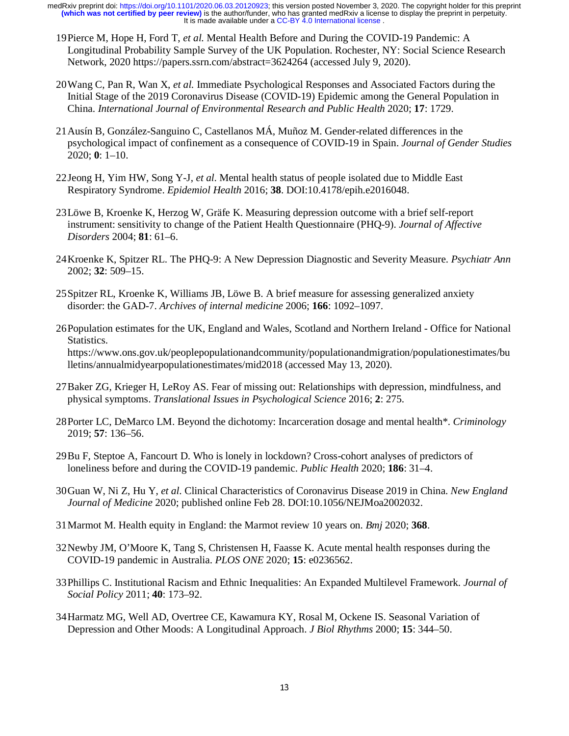- 19 Pierce M, Hope H, Ford T, *et al.* Mental Health Before and During the COVID-19 Pandemic: A Longitudinal Probability Sample Survey of the UK Population. Rochester, NY: Social Science Research Network, 2020 https://papers.ssrn.com/abstract=3624264 (accessed July 9, 2020).
- 20 Wang C, Pan R, Wan X, *et al.* Immediate Psychological Responses and Associated Factors during the Initial Stage of the 2019 Coronavirus Disease (COVID-19) Epidemic among the General Population in China. *International Journal of Environmental Research and Public Health* 2020; **17**: 1729.
- 21 Ausín B, González-Sanguino C, Castellanos MÁ, Muñoz M. Gender-related differences in the psychological impact of confinement as a consequence of COVID-19 in Spain. *Journal of Gender Studies* 2020; **0**: 1–10.
- 22 Jeong H, Yim HW, Song Y-J, *et al.* Mental health status of people isolated due to Middle East Respiratory Syndrome. *Epidemiol Health* 2016; **38**. DOI:10.4178/epih.e2016048.
- 23 Löwe B, Kroenke K, Herzog W, Gräfe K. Measuring depression outcome with a brief self-report instrument: sensitivity to change of the Patient Health Questionnaire (PHQ-9). *Journal of Affective Disorders* 2004; **81**: 61–6.
- 24 Kroenke K, Spitzer RL. The PHQ-9: A New Depression Diagnostic and Severity Measure. *Psychiatr Ann* 2002; **32**: 509–15.
- 25 Spitzer RL, Kroenke K, Williams JB, Löwe B. A brief measure for assessing generalized anxiety disorder: the GAD-7. *Archives of internal medicine* 2006; **166**: 1092–1097.
- 26 Population estimates for the UK, England and Wales, Scotland and Northern Ireland Office for National Statistics. https://www.ons.gov.uk/peoplepopulationandcommunity/populationandmigration/populationestimates/bu lletins/annualmidyearpopulationestimates/mid2018 (accessed May 13, 2020).
- 27 Baker ZG, Krieger H, LeRoy AS. Fear of missing out: Relationships with depression, mindfulness, and physical symptoms. *Translational Issues in Psychological Science* 2016; **2**: 275.
- 28 Porter LC, DeMarco LM. Beyond the dichotomy: Incarceration dosage and mental health\*. *Criminology* 2019; **57**: 136–56.
- 29 Bu F, Steptoe A, Fancourt D. Who is lonely in lockdown? Cross-cohort analyses of predictors of loneliness before and during the COVID-19 pandemic. *Public Health* 2020; **186**: 31–4.
- 30 Guan W, Ni Z, Hu Y, *et al.* Clinical Characteristics of Coronavirus Disease 2019 in China. *New England Journal of Medicine* 2020; published online Feb 28. DOI:10.1056/NEJMoa2002032.
- 31 Marmot M. Health equity in England: the Marmot review 10 years on. *Bmj* 2020; **368**.
- 32 Newby JM, O'Moore K, Tang S, Christensen H, Faasse K. Acute mental health responses during the COVID-19 pandemic in Australia. *PLOS ONE* 2020; **15**: e0236562.
- 33 Phillips C. Institutional Racism and Ethnic Inequalities: An Expanded Multilevel Framework. *Journal of Social Policy* 2011; **40**: 173–92.
- 34 Harmatz MG, Well AD, Overtree CE, Kawamura KY, Rosal M, Ockene IS. Seasonal Variation of Depression and Other Moods: A Longitudinal Approach. *J Biol Rhythms* 2000; **15**: 344–50.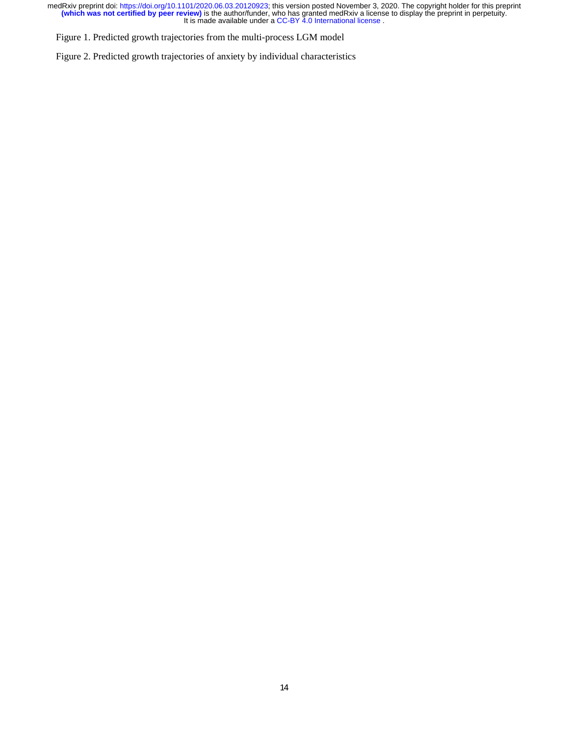Figure 1. Predicted growth trajectories from the multi-process LGM model

Figure 2. Predicted growth trajectories of anxiety by individual characteristics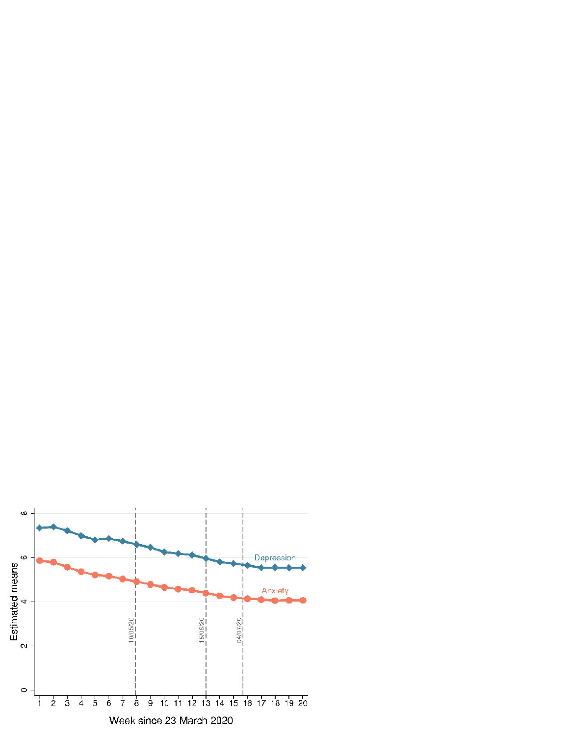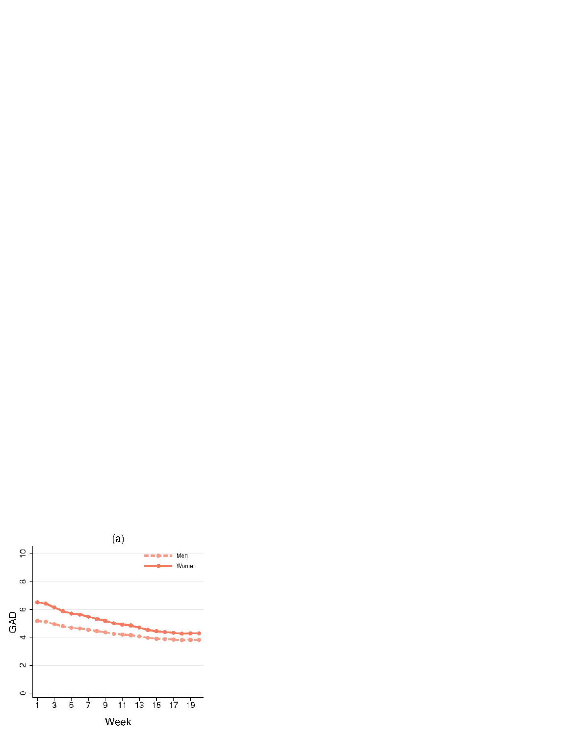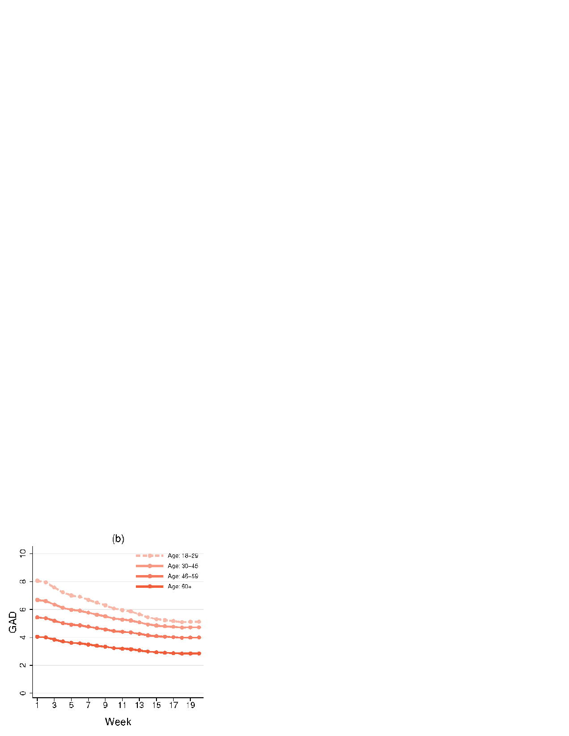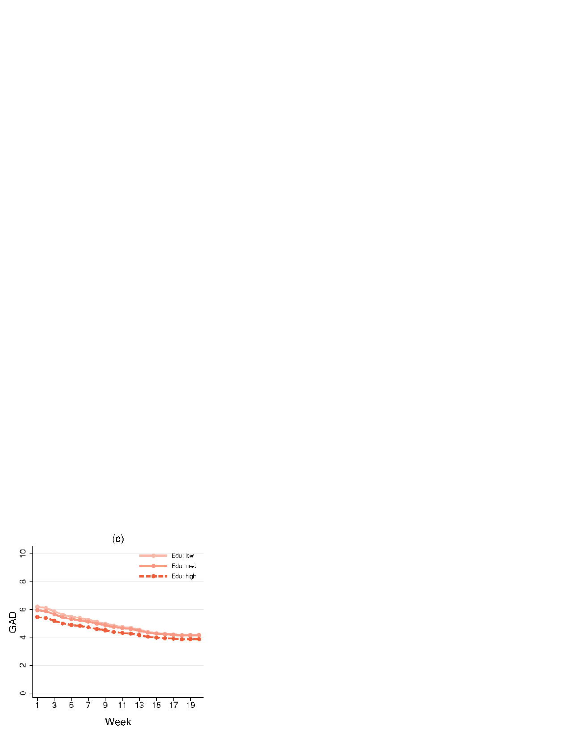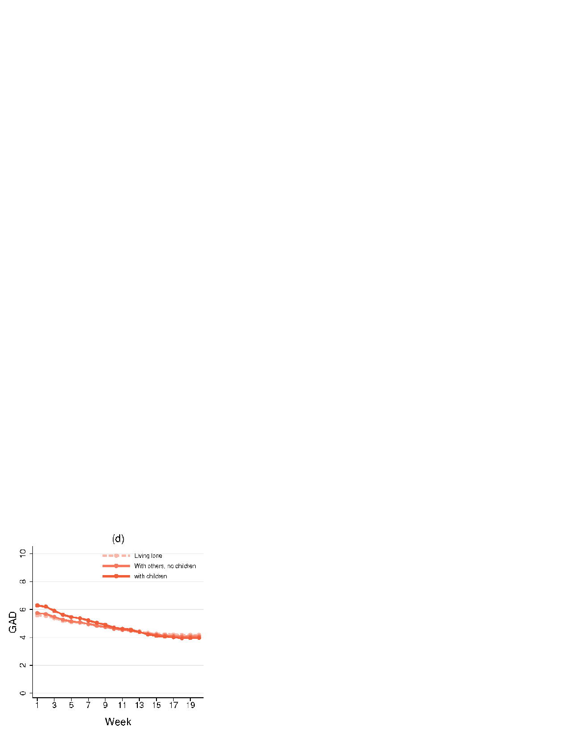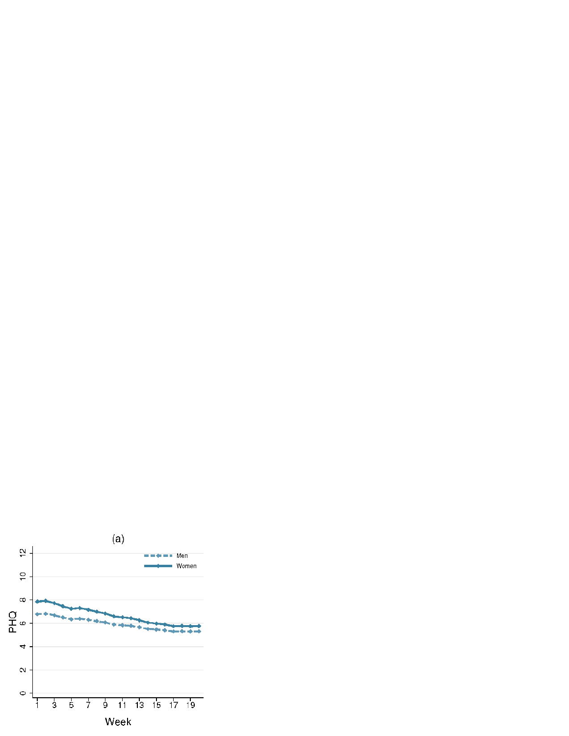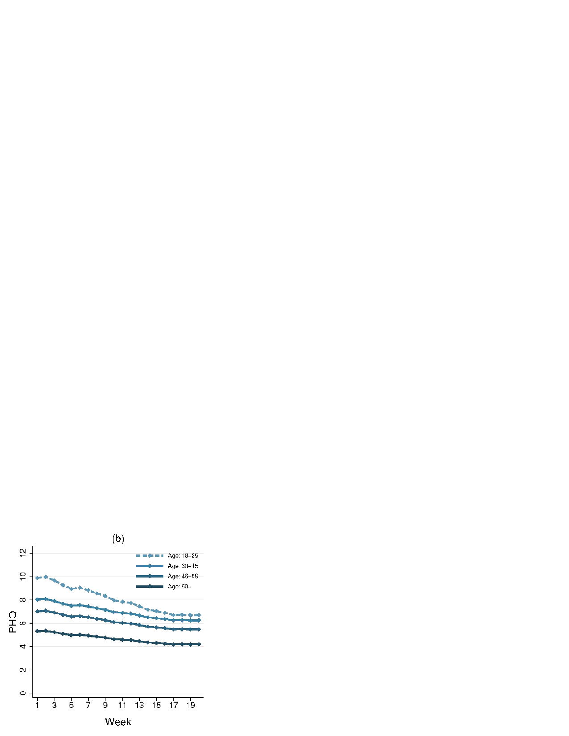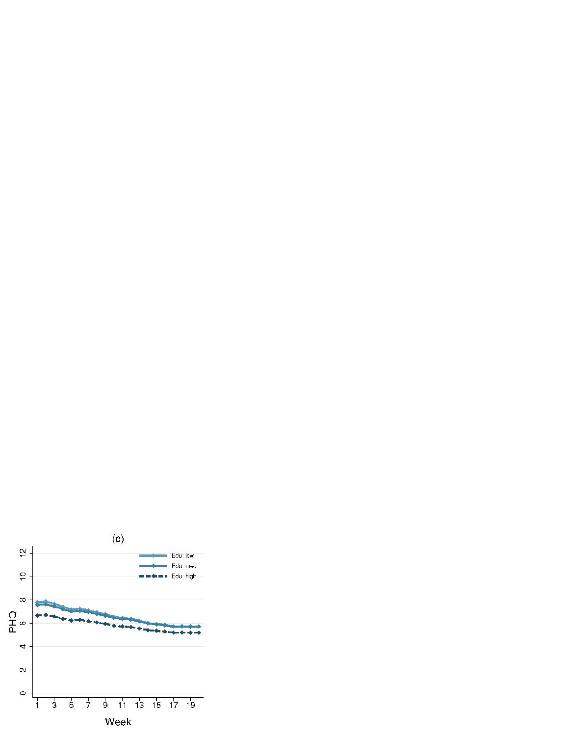